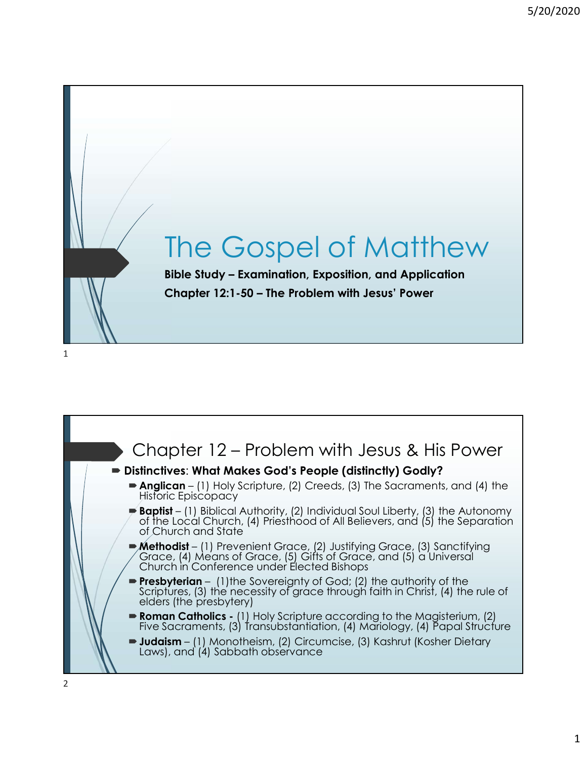

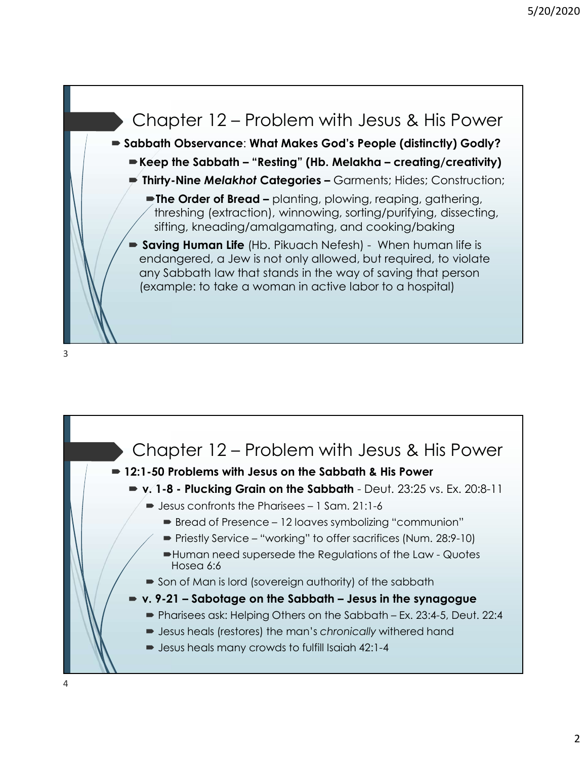